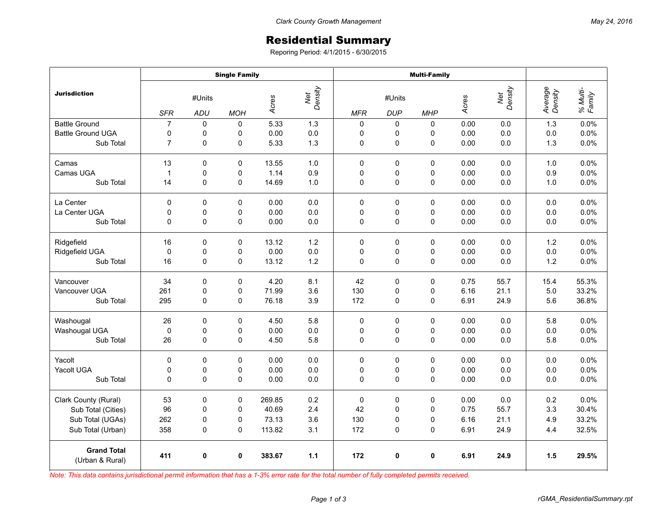## Residential Summary

Reporing Period: 4/1/2015 - 6/30/2015

|                                       | <b>Single Family</b> |             |             |        |                | <b>Multi-Family</b> |             |             |       |                |                    |                    |
|---------------------------------------|----------------------|-------------|-------------|--------|----------------|---------------------|-------------|-------------|-------|----------------|--------------------|--------------------|
| <b>Jurisdiction</b>                   | #Units               |             |             | Acres  | Net<br>Density | #Units              |             |             | Acres | Net<br>Density | Average<br>Density | % Multi-<br>Family |
|                                       | <b>SFR</b>           | ADU         | <b>MOH</b>  |        |                | <b>MFR</b>          | <b>DUP</b>  | <b>MHP</b>  |       |                |                    |                    |
| <b>Battle Ground</b>                  | $\overline{7}$       | $\Omega$    | $\mathbf 0$ | 5.33   | 1.3            | $\mathbf 0$         | $\mathbf 0$ | $\Omega$    | 0.00  | 0.0            | 1.3                | 0.0%               |
| <b>Battle Ground UGA</b>              | 0                    | 0           | 0           | 0.00   | 0.0            | $\mathbf 0$         | 0           | 0           | 0.00  | 0.0            | 0.0                | 0.0%               |
| Sub Total                             | $\overline{7}$       | $\pmb{0}$   | 0           | 5.33   | 1.3            | 0                   | 0           | 0           | 0.00  | 0.0            | 1.3                | 0.0%               |
| Camas                                 | 13                   | $\mathbf 0$ | 0           | 13.55  | 1.0            | 0                   | 0           | $\Omega$    | 0.00  | 0.0            | 1.0                | 0.0%               |
| Camas UGA                             | 1                    | 0           | 0           | 1.14   | 0.9            | 0                   | 0           | 0           | 0.00  | 0.0            | 0.9                | 0.0%               |
| Sub Total                             | 14                   | $\mathbf 0$ | $\mathbf 0$ | 14.69  | 1.0            | 0                   | 0           | 0           | 0.00  | 0.0            | 1.0                | 0.0%               |
| La Center                             | 0                    | 0           | 0           | 0.00   | 0.0            | 0                   | 0           | 0           | 0.00  | 0.0            | 0.0                | 0.0%               |
| La Center UGA                         | 0                    | 0           | $\mathsf 0$ | 0.00   | 0.0            | 0                   | $\mathsf 0$ | 0           | 0.00  | 0.0            | 0.0                | 0.0%               |
| Sub Total                             | $\mathbf 0$          | 0           | 0           | 0.00   | 0.0            | 0                   | 0           | 0           | 0.00  | 0.0            | 0.0                | 0.0%               |
| Ridgefield                            | 16                   | 0           | 0           | 13.12  | 1.2            | 0                   | 0           | $\Omega$    | 0.00  | 0.0            | 1.2                | 0.0%               |
| Ridgefield UGA                        | 0                    | 0           | 0           | 0.00   | 0.0            | 0                   | 0           | 0           | 0.00  | 0.0            | 0.0                | 0.0%               |
| Sub Total                             | 16                   | $\mathbf 0$ | 0           | 13.12  | 1.2            | 0                   | 0           | 0           | 0.00  | 0.0            | 1.2                | 0.0%               |
| Vancouver                             | 34                   | $\mathbf 0$ | $\mathbf 0$ | 4.20   | 8.1            | 42                  | $\pmb{0}$   | 0           | 0.75  | 55.7           | 15.4               | 55.3%              |
| Vancouver UGA                         | 261                  | $\pmb{0}$   | 0           | 71.99  | 3.6            | 130                 | 0           | 0           | 6.16  | 21.1           | 5.0                | 33.2%              |
| Sub Total                             | 295                  | 0           | 0           | 76.18  | 3.9            | 172                 | 0           | 0           | 6.91  | 24.9           | 5.6                | 36.8%              |
| Washougal                             | 26                   | $\mathbf 0$ | 0           | 4.50   | 5.8            | $\mathbf 0$         | 0           | 0           | 0.00  | 0.0            | 5.8                | 0.0%               |
| Washougal UGA                         | $\mathbf 0$          | 0           | 0           | 0.00   | 0.0            | 0                   | 0           | 0           | 0.00  | 0.0            | 0.0                | 0.0%               |
| Sub Total                             | 26                   | 0           | $\mathbf 0$ | 4.50   | 5.8            | $\Omega$            | $\mathsf 0$ | $\Omega$    | 0.00  | 0.0            | 5.8                | 0.0%               |
| Yacolt                                | 0                    | $\mathbf 0$ | $\mathbf 0$ | 0.00   | 0.0            | $\mathbf 0$         | 0           | $\Omega$    | 0.00  | 0.0            | 0.0                | 0.0%               |
| Yacolt UGA                            | $\mathbf 0$          | 0           | 0           | 0.00   | 0.0            | 0                   | 0           | 0           | 0.00  | 0.0            | 0.0                | 0.0%               |
| Sub Total                             | $\mathbf 0$          | $\mathbf 0$ | 0           | 0.00   | 0.0            | 0                   | 0           | 0           | 0.00  | 0.0            | 0.0                | 0.0%               |
| Clark County (Rural)                  | 53                   | $\mathbf 0$ | $\mathbf 0$ | 269.85 | 0.2            | $\mathbf 0$         | $\mathbf 0$ | 0           | 0.00  | 0.0            | 0.2                | 0.0%               |
| Sub Total (Cities)                    | 96                   | 0           | 0           | 40.69  | 2.4            | 42                  | 0           | $\Omega$    | 0.75  | 55.7           | 3.3                | 30.4%              |
| Sub Total (UGAs)                      | 262                  | 0           | 0           | 73.13  | 3.6            | 130                 | 0           | 0           | 6.16  | 21.1           | 4.9                | 33.2%              |
| Sub Total (Urban)                     | 358                  | 0           | 0           | 113.82 | 3.1            | 172                 | 0           | 0           | 6.91  | 24.9           | 4.4                | 32.5%              |
| <b>Grand Total</b><br>(Urban & Rural) | 411                  | 0           | 0           | 383.67 | $1.1$          | 172                 | 0           | $\mathbf 0$ | 6.91  | 24.9           | 1.5                | 29.5%              |

*Note: This data contains jurisdictional permit information that has a 1-3% error rate for the total number of fully completed permits received.*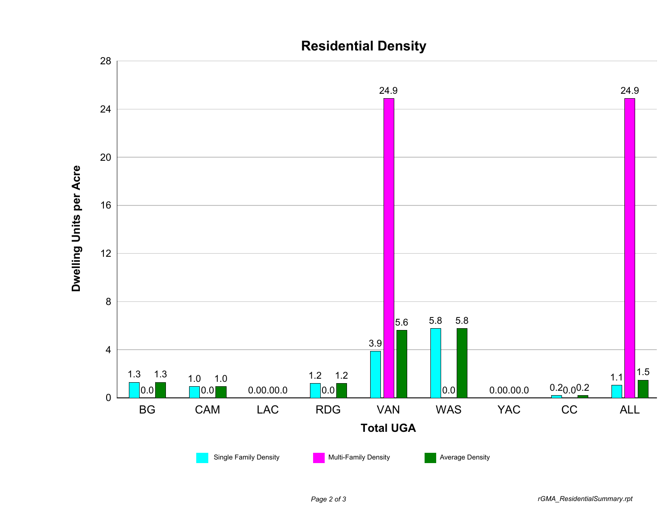

## **Residential Density**